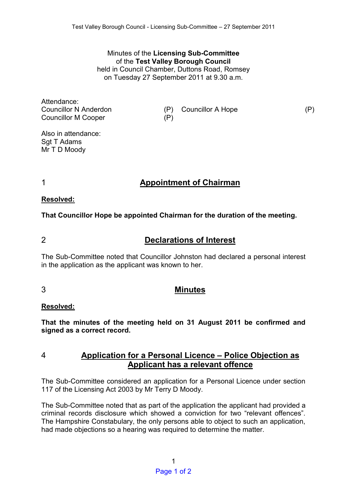Minutes of the **Licensing Sub-Committee**  of the **Test Valley Borough Council** held in Council Chamber, Duttons Road, Romsey on Tuesday 27 September 2011 at 9.30 a.m.

Attendance: Councillor N Anderdon (P) Councillor A Hope (P) Councillor M Cooper (P)

Also in attendance: Sgt T Adams Mr T D Moody

1 **Appointment of Chairman** 

### **Resolved:**

**That Councillor Hope be appointed Chairman for the duration of the meeting.** 

# 2 **Declarations of Interest**

The Sub-Committee noted that Councillor Johnston had declared a personal interest in the application as the applicant was known to her.

## 3 **Minutes**

#### **Resolved:**

**That the minutes of the meeting held on 31 August 2011 be confirmed and signed as a correct record.** 

## 4 **Application for a Personal Licence – Police Objection as Applicant has a relevant offence**

The Sub-Committee considered an application for a Personal Licence under section 117 of the Licensing Act 2003 by Mr Terry D Moody.

The Sub-Committee noted that as part of the application the applicant had provided a criminal records disclosure which showed a conviction for two "relevant offences". The Hampshire Constabulary, the only persons able to object to such an application, had made objections so a hearing was required to determine the matter.